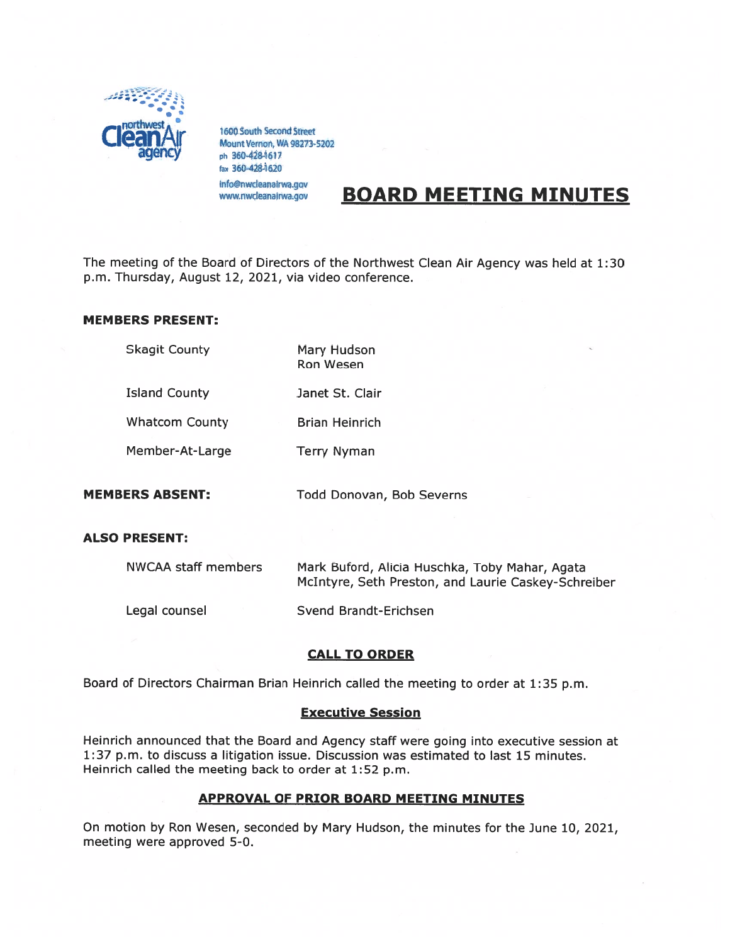

1600 South Second Street<br>Mount Vernon, WA 98273-5202 ph 360-428-1617 fax 360-428-1620 info@nwcleanairwa.gov www.nwcleanajrwa.gov

# BOARD MEETING MINUTES

The meeting of the Board of Directors of the Northwest Clean Air Agency was held at 1:30 p.m. Thursday, August 12, 2021, via video conference.

#### MEMBERS PRESENT:

| <b>Skagit County</b>   | Mary Hudson<br><b>Ron Wesen</b> |
|------------------------|---------------------------------|
| <b>Island County</b>   | Janet St. Clair                 |
| <b>Whatcom County</b>  | <b>Brian Heinrich</b>           |
| Member-At-Large        | <b>Terry Nyman</b>              |
| <b>MEMBERS ABSENT:</b> | Todd Donovan, Bob Severns       |

## ALSO PRESENT:

| NWCAA staff members | Mark Buford, Alicia Huschka, Toby Mahar, Agata<br>McIntyre, Seth Preston, and Laurie Caskey-Schreiber |
|---------------------|-------------------------------------------------------------------------------------------------------|
| Legal counsel       | Svend Brandt-Erichsen                                                                                 |

## CALL TO ORDER

Board of Directors Chairman Brian Heinrich called the meeting to order at 1:35 p.m.

## Executive Session

Heinrich announced that the Board and Agency staff were going into executive session at 1:37 p.m. to discuss <sup>a</sup> litigation issue. Discussion was estimated to last 15 minutes. Heinrich called the meeting back to order at 1:52 p.m.

## APPROVAL OF PRIOR BOARD MEETING MINUTES

On motion by Ron Wesen, seconded by Mary Hudson, the minutes for the June 10, 2021, meeting were approved 5-0.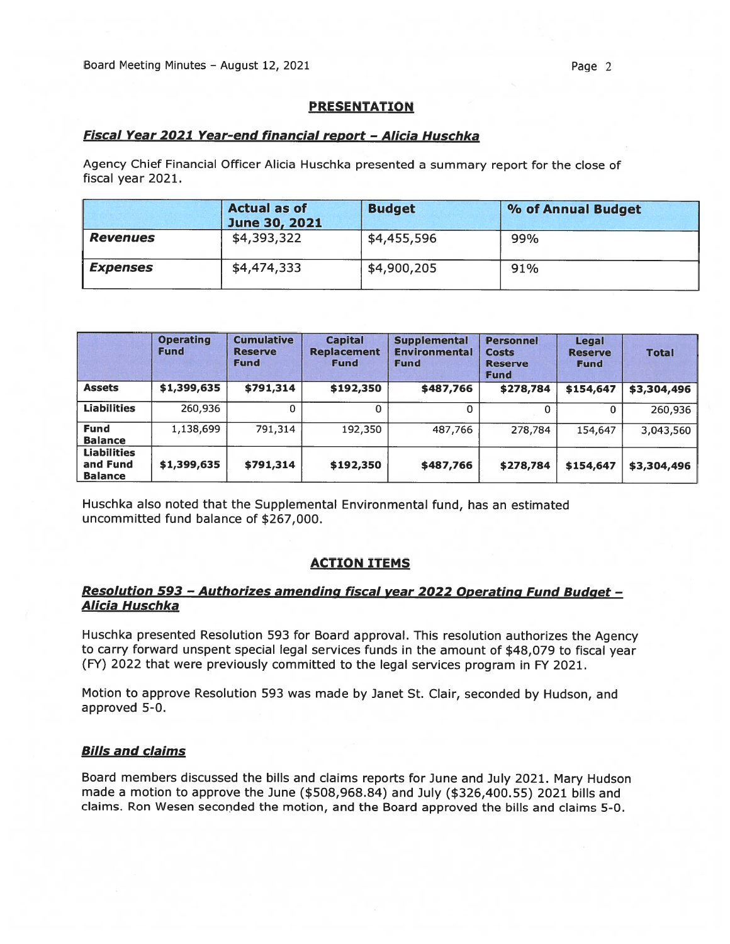# PRESENTATION

# Fiscal Year 2021 Year-end financial repor<sup>t</sup> — Alicia Huschka

Agency Chief Financial Officer Alicia Huschka presented <sup>a</sup> summary repor<sup>t</sup> for the close of fiscal year 2021.

|                        | <b>Actual as of</b><br>June 30, 2021 | <b>Budget</b> | % of Annual Budget |
|------------------------|--------------------------------------|---------------|--------------------|
| <b>Revenues</b>        | \$4,393,322                          | \$4,455,596   | 99%                |
| <i><b>Expenses</b></i> | \$4,474,333                          | \$4,900,205   | 91%                |

|                                                  | <b>Operating</b><br><b>Fund</b> | <b>Cumulative</b><br><b>Reserve</b><br><b>Fund</b> | <b>Capital</b><br><b>Replacement</b><br><b>Fund</b> | <b>Supplemental</b><br><b>Environmental</b><br><b>Fund</b> | <b>Personnel</b><br><b>Costs</b><br><b>Reserve</b><br><b>Fund</b> | Legal<br><b>Reserve</b><br><b>Fund</b> | <b>Total</b> |
|--------------------------------------------------|---------------------------------|----------------------------------------------------|-----------------------------------------------------|------------------------------------------------------------|-------------------------------------------------------------------|----------------------------------------|--------------|
| <b>Assets</b>                                    | \$1,399,635                     | \$791,314                                          | \$192,350                                           | \$487,766                                                  | \$278,784                                                         | \$154,647                              | \$3,304,496  |
| <b>Liabilities</b>                               | 260,936                         |                                                    | 0                                                   | 0                                                          | 0                                                                 | 0                                      | 260,936      |
| <b>Fund</b><br><b>Balance</b>                    | 1,138,699                       | 791,314                                            | 192,350                                             | 487,766                                                    | 278,784                                                           | 154,647                                | 3,043,560    |
| <b>Liabilities</b><br>and Fund<br><b>Balance</b> | \$1,399,635                     | \$791,314                                          | \$192,350                                           | \$487,766                                                  | \$278,784                                                         | \$154,647                              | \$3,304,496  |

Huschka also noted that the Supplemental Environmental fund, has an estimated uncommitted fund balance of \$267,000.

## ACTION ITEMS

## Resolution 593 - Authorizes amending fiscal year 2022 Operating Fund Budget -Alicia Huschka

Huschka presented Resolution <sup>593</sup> for Board approval. This resolution authorizes the Agency to carry forward unspen<sup>t</sup> special legal services funds in the amount of \$48,079 to fiscal year (FY) 2022 that were previously committed to the legal services program in FY 2021.

Motion to approve Resolution <sup>593</sup> was made by Janet St. Clair, seconded by Hudson, and approved 5-0.

# **Bills and claims**

Board members discussed the bills and claims reports for June and July 2021. Mary Hudson made <sup>a</sup> motion to approve the June (\$508,968.84) and July (\$326,400.55) 2021 bills and claims. Ron Wesen seconded the motion, and the Board approved the bills and claims 5-0.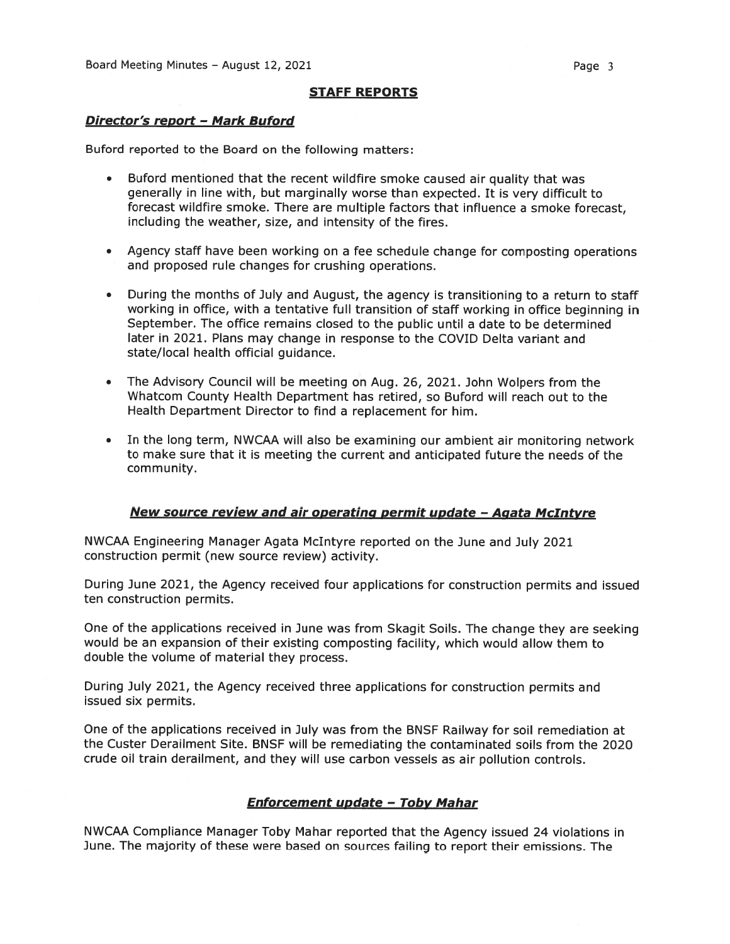## STAFF REPORTS

#### Director's report - Mark Buford

Buford reported to the Board on the following matters:

- Buford mentioned that the recent wildfire smoke caused air quality that was generally in line with, but marginally worse than expected. It is very difficult to forecast wildfire smoke. There are multiple factors that influence <sup>a</sup> smoke forecast, including the weather, size, and intensity of the fires.
- Agency staff have been working on <sup>a</sup> fee schedule change for composting operations and proposed rule changes for crushing operations.
- During the months of July and August, the agency is transitioning to <sup>a</sup> return to staff working in office, with <sup>a</sup> tentative full transition of staff working in office beginning in September. The office remains closed to the public until <sup>a</sup> date to be determined later in 2021. Plans may change in response to the COVID Delta variant and state/local health official guidance.
- • The Advisory Council will be meeting on Aug. 26, 2021. John Wolpers from the Whatcom County Health Department has retired, so Buford will reach out to the Health Department Director to find <sup>a</sup> replacement for him.
- • In the long term, NWCAA will also be examining our ambient air monitoring network to make sure that it is meeting the current and anticipated future the needs of the community.

## New source review and air operating permit update - Agata McIntyre

NWCAA Engineering Manager Agata McIntyre reported on the June and July 2021 construction permit (new source review) activity.

During June 2021, the Agency received four applications for construction permits and issued ten construction permits.

One of the applications received in June was from Skagit Soils. The change they are seeking would be an expansion of their existing composting facility, which would allow them to double the volume of material they process.

During July 2021, the Agency received three applications for construction permits and issued six permits.

One of the applications received in July was from the BNSF Railway for soil remediation at the Custer Derailment Site. BNSF will be remediating the contaminated soils from the 2020 crude oil train derailment, and they will use carbon vessels as air pollution controls.

## **Enforcement update - Toby Mahar**

NWCAA Compliance Manager Toby Mahar reported that the Agency issued <sup>24</sup> violations in June. The majority of these were based on sources failing to repor<sup>t</sup> their emissions. The